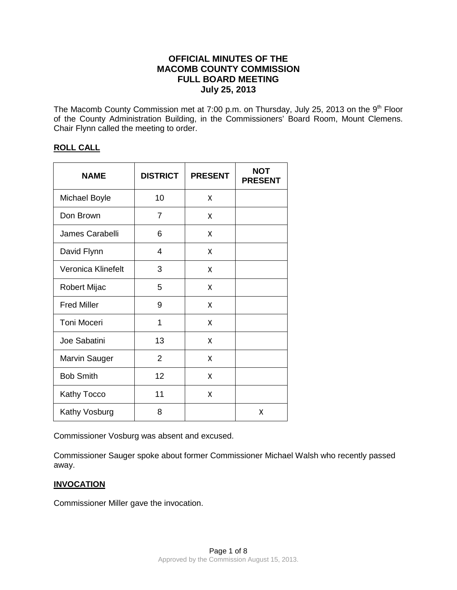# **OFFICIAL MINUTES OF THE MACOMB COUNTY COMMISSION FULL BOARD MEETING July 25, 2013**

The Macomb County Commission met at 7:00 p.m. on Thursday, July 25, 2013 on the 9<sup>th</sup> Floor of the County Administration Building, in the Commissioners' Board Room, Mount Clemens. Chair Flynn called the meeting to order.

# **ROLL CALL**

| <b>NAME</b>          | <b>DISTRICT</b> | <b>PRESENT</b> | <b>NOT</b><br><b>PRESENT</b> |
|----------------------|-----------------|----------------|------------------------------|
| <b>Michael Boyle</b> | 10              | X              |                              |
| Don Brown            | $\overline{7}$  | X              |                              |
| James Carabelli      | 6               | X              |                              |
| David Flynn          | 4               | X              |                              |
| Veronica Klinefelt   | 3               | X              |                              |
| Robert Mijac         | 5               | X              |                              |
| <b>Fred Miller</b>   | 9               | X              |                              |
| <b>Toni Moceri</b>   | 1               | X              |                              |
| Joe Sabatini         | 13              | X              |                              |
| Marvin Sauger        | $\overline{2}$  | x              |                              |
| <b>Bob Smith</b>     | 12              | X              |                              |
| <b>Kathy Tocco</b>   | 11              | X              |                              |
| Kathy Vosburg        | 8               |                | Χ                            |

Commissioner Vosburg was absent and excused.

Commissioner Sauger spoke about former Commissioner Michael Walsh who recently passed away.

# **INVOCATION**

Commissioner Miller gave the invocation.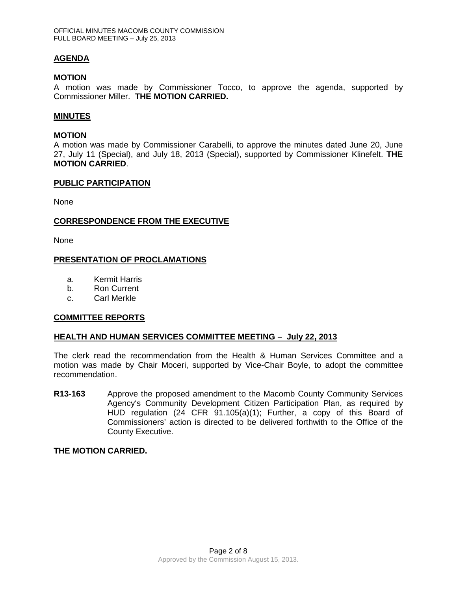# **AGENDA**

#### **MOTION**

A motion was made by Commissioner Tocco, to approve the agenda, supported by Commissioner Miller. **THE MOTION CARRIED.**

#### **MINUTES**

## **MOTION**

A motion was made by Commissioner Carabelli, to approve the minutes dated June 20, June 27, July 11 (Special), and July 18, 2013 (Special), supported by Commissioner Klinefelt. **THE MOTION CARRIED**.

#### **PUBLIC PARTICIPATION**

None

## **CORRESPONDENCE FROM THE EXECUTIVE**

None

## **PRESENTATION OF PROCLAMATIONS**

- a. Kermit Harris
- b. Ron Current
- c. Carl Merkle

## **COMMITTEE REPORTS**

## **HEALTH AND HUMAN SERVICES COMMITTEE MEETING – July 22, 2013**

The clerk read the recommendation from the Health & Human Services Committee and a motion was made by Chair Moceri, supported by Vice-Chair Boyle, to adopt the committee recommendation.

**R13-163** Approve the proposed amendment to the Macomb County Community Services Agency's Community Development Citizen Participation Plan, as required by HUD regulation (24 CFR 91.105(a)(1); Further, a copy of this Board of Commissioners' action is directed to be delivered forthwith to the Office of the County Executive.

## **THE MOTION CARRIED.**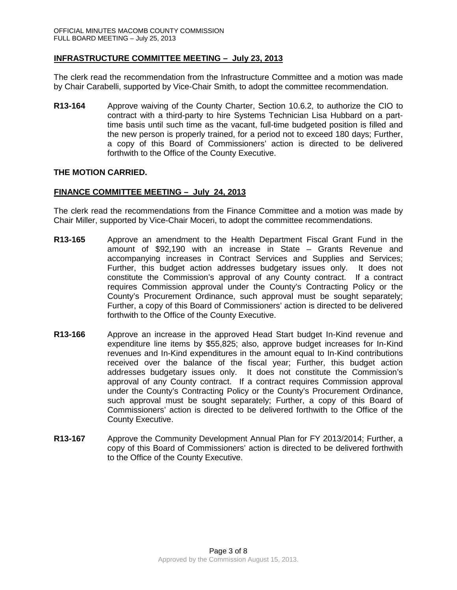## **INFRASTRUCTURE COMMITTEE MEETING – July 23, 2013**

The clerk read the recommendation from the Infrastructure Committee and a motion was made by Chair Carabelli, supported by Vice-Chair Smith, to adopt the committee recommendation.

**R13-164** Approve waiving of the County Charter, Section 10.6.2, to authorize the CIO to contract with a third-party to hire Systems Technician Lisa Hubbard on a parttime basis until such time as the vacant, full-time budgeted position is filled and the new person is properly trained, for a period not to exceed 180 days; Further, a copy of this Board of Commissioners' action is directed to be delivered forthwith to the Office of the County Executive.

## **THE MOTION CARRIED.**

#### **FINANCE COMMITTEE MEETING – July 24, 2013**

The clerk read the recommendations from the Finance Committee and a motion was made by Chair Miller, supported by Vice-Chair Moceri, to adopt the committee recommendations.

- **R13-165** Approve an amendment to the Health Department Fiscal Grant Fund in the amount of \$92,190 with an increase in State – Grants Revenue and accompanying increases in Contract Services and Supplies and Services; Further, this budget action addresses budgetary issues only. It does not constitute the Commission's approval of any County contract. If a contract requires Commission approval under the County's Contracting Policy or the County's Procurement Ordinance, such approval must be sought separately; Further, a copy of this Board of Commissioners' action is directed to be delivered forthwith to the Office of the County Executive.
- **R13-166** Approve an increase in the approved Head Start budget In-Kind revenue and expenditure line items by \$55,825; also, approve budget increases for In-Kind revenues and In-Kind expenditures in the amount equal to In-Kind contributions received over the balance of the fiscal year; Further, this budget action addresses budgetary issues only. It does not constitute the Commission's approval of any County contract. If a contract requires Commission approval under the County's Contracting Policy or the County's Procurement Ordinance, such approval must be sought separately; Further, a copy of this Board of Commissioners' action is directed to be delivered forthwith to the Office of the County Executive.
- **R13-167** Approve the Community Development Annual Plan for FY 2013/2014; Further, a copy of this Board of Commissioners' action is directed to be delivered forthwith to the Office of the County Executive.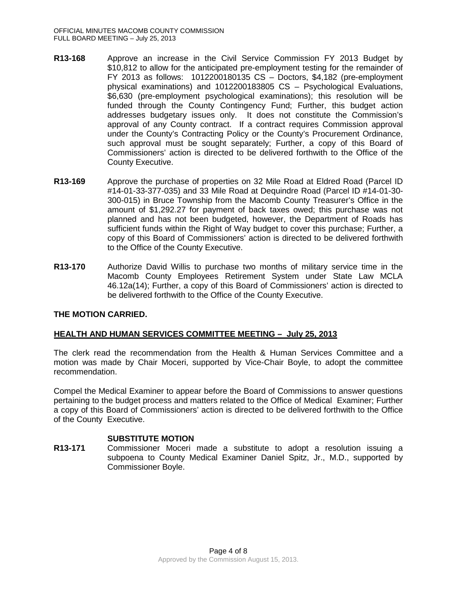- **R13-168** Approve an increase in the Civil Service Commission FY 2013 Budget by \$10,812 to allow for the anticipated pre-employment testing for the remainder of FY 2013 as follows: 1012200180135 CS – Doctors, \$4,182 (pre-employment physical examinations) and 1012200183805 CS – Psychological Evaluations, \$6,630 (pre-employment psychological examinations); this resolution will be funded through the County Contingency Fund; Further, this budget action addresses budgetary issues only. It does not constitute the Commission's approval of any County contract. If a contract requires Commission approval under the County's Contracting Policy or the County's Procurement Ordinance, such approval must be sought separately; Further, a copy of this Board of Commissioners' action is directed to be delivered forthwith to the Office of the County Executive.
- **R13-169** Approve the purchase of properties on 32 Mile Road at Eldred Road (Parcel ID #14-01-33-377-035) and 33 Mile Road at Dequindre Road (Parcel ID #14-01-30- 300-015) in Bruce Township from the Macomb County Treasurer's Office in the amount of \$1,292.27 for payment of back taxes owed; this purchase was not planned and has not been budgeted, however, the Department of Roads has sufficient funds within the Right of Way budget to cover this purchase; Further, a copy of this Board of Commissioners' action is directed to be delivered forthwith to the Office of the County Executive.
- **R13-170** Authorize David Willis to purchase two months of military service time in the Macomb County Employees Retirement System under State Law MCLA 46.12a(14); Further, a copy of this Board of Commissioners' action is directed to be delivered forthwith to the Office of the County Executive.

# **THE MOTION CARRIED.**

# **HEALTH AND HUMAN SERVICES COMMITTEE MEETING – July 25, 2013**

The clerk read the recommendation from the Health & Human Services Committee and a motion was made by Chair Moceri, supported by Vice-Chair Boyle, to adopt the committee recommendation.

Compel the Medical Examiner to appear before the Board of Commissions to answer questions pertaining to the budget process and matters related to the Office of Medical Examiner; Further a copy of this Board of Commissioners' action is directed to be delivered forthwith to the Office of the County Executive.

## **SUBSTITUTE MOTION**

**R13-171** Commissioner Moceri made a substitute to adopt a resolution issuing a subpoena to County Medical Examiner Daniel Spitz, Jr., M.D., supported by Commissioner Boyle.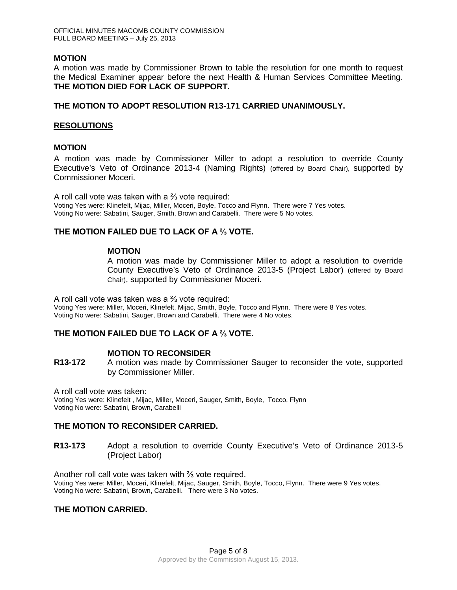## **MOTION**

A motion was made by Commissioner Brown to table the resolution for one month to request the Medical Examiner appear before the next Health & Human Services Committee Meeting. **THE MOTION DIED FOR LACK OF SUPPORT.**

## **THE MOTION TO ADOPT RESOLUTION R13-171 CARRIED UNANIMOUSLY.**

## **RESOLUTIONS**

## **MOTION**

A motion was made by Commissioner Miller to adopt a resolution to override County Executive's Veto of Ordinance 2013-4 (Naming Rights) (offered by Board Chair), supported by Commissioner Moceri.

A roll call vote was taken with a ⅔ vote required: Voting Yes were: Klinefelt, Mijac, Miller, Moceri, Boyle, Tocco and Flynn. There were 7 Yes votes. Voting No were: Sabatini, Sauger, Smith, Brown and Carabelli. There were 5 No votes.

# **THE MOTION FAILED DUE TO LACK OF A ⅔ VOTE.**

## **MOTION**

A motion was made by Commissioner Miller to adopt a resolution to override County Executive's Veto of Ordinance 2013-5 (Project Labor) (offered by Board Chair), supported by Commissioner Moceri.

A roll call vote was taken was a ⅔ vote required:

Voting Yes were: Miller, Moceri, Klinefelt, Mijac, Smith, Boyle, Tocco and Flynn. There were 8 Yes votes. Voting No were: Sabatini, Sauger, Brown and Carabelli. There were 4 No votes.

# **THE MOTION FAILED DUE TO LACK OF A ⅔ VOTE.**

# **MOTION TO RECONSIDER**

**R13-172** A motion was made by Commissioner Sauger to reconsider the vote, supported by Commissioner Miller.

A roll call vote was taken: Voting Yes were: Klinefelt , Mijac, Miller, Moceri, Sauger, Smith, Boyle, Tocco, Flynn Voting No were: Sabatini, Brown, Carabelli

# **THE MOTION TO RECONSIDER CARRIED.**

**R13-173** Adopt a resolution to override County Executive's Veto of Ordinance 2013-5 (Project Labor)

Another roll call vote was taken with ⅔ vote required. Voting Yes were: Miller, Moceri, Klinefelt, Mijac, Sauger, Smith, Boyle, Tocco, Flynn. There were 9 Yes votes. Voting No were: Sabatini, Brown, Carabelli. There were 3 No votes.

# **THE MOTION CARRIED.**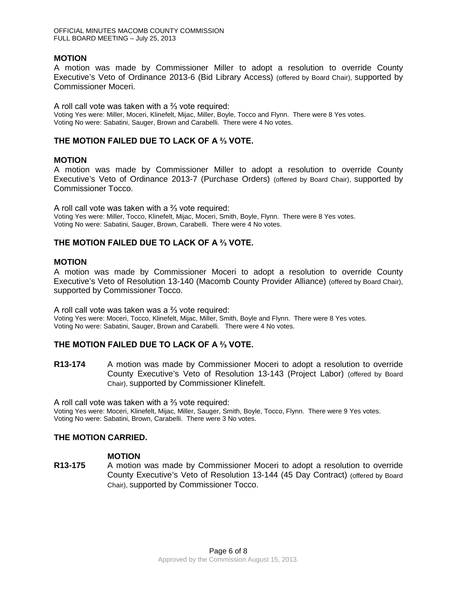OFFICIAL MINUTES MACOMB COUNTY COMMISSION FULL BOARD MEETING – July 25, 2013

#### **MOTION**

A motion was made by Commissioner Miller to adopt a resolution to override County Executive's Veto of Ordinance 2013-6 (Bid Library Access) (offered by Board Chair), supported by Commissioner Moceri.

A roll call vote was taken with a ⅔ vote required: Voting Yes were: Miller, Moceri, Klinefelt, Mijac, Miller, Boyle, Tocco and Flynn. There were 8 Yes votes. Voting No were: Sabatini, Sauger, Brown and Carabelli. There were 4 No votes.

## **THE MOTION FAILED DUE TO LACK OF A ⅔ VOTE.**

#### **MOTION**

A motion was made by Commissioner Miller to adopt a resolution to override County Executive's Veto of Ordinance 2013-7 (Purchase Orders) (offered by Board Chair), supported by Commissioner Tocco.

A roll call vote was taken with a ⅔ vote required: Voting Yes were: Miller, Tocco, Klinefelt, Mijac, Moceri, Smith, Boyle, Flynn. There were 8 Yes votes. Voting No were: Sabatini, Sauger, Brown, Carabelli. There were 4 No votes.

## **THE MOTION FAILED DUE TO LACK OF A ⅔ VOTE.**

#### **MOTION**

A motion was made by Commissioner Moceri to adopt a resolution to override County Executive's Veto of Resolution 13-140 (Macomb County Provider Alliance) (offered by Board Chair), supported by Commissioner Tocco.

A roll call vote was taken was a ⅔ vote required: Voting Yes were: Moceri, Tocco, Klinefelt, Mijac, Miller, Smith, Boyle and Flynn. There were 8 Yes votes. Voting No were: Sabatini, Sauger, Brown and Carabelli. There were 4 No votes.

## **THE MOTION FAILED DUE TO LACK OF A ⅔ VOTE.**

**R13-174** A motion was made by Commissioner Moceri to adopt a resolution to override County Executive's Veto of Resolution 13-143 (Project Labor) (offered by Board Chair), supported by Commissioner Klinefelt.

A roll call vote was taken with a ⅔ vote required:

Voting Yes were: Moceri, Klinefelt, Mijac, Miller, Sauger, Smith, Boyle, Tocco, Flynn. There were 9 Yes votes. Voting No were: Sabatini, Brown, Carabelli. There were 3 No votes.

## **THE MOTION CARRIED.**

#### **MOTION**

**R13-175** A motion was made by Commissioner Moceri to adopt a resolution to override County Executive's Veto of Resolution 13-144 (45 Day Contract) (offered by Board Chair), supported by Commissioner Tocco.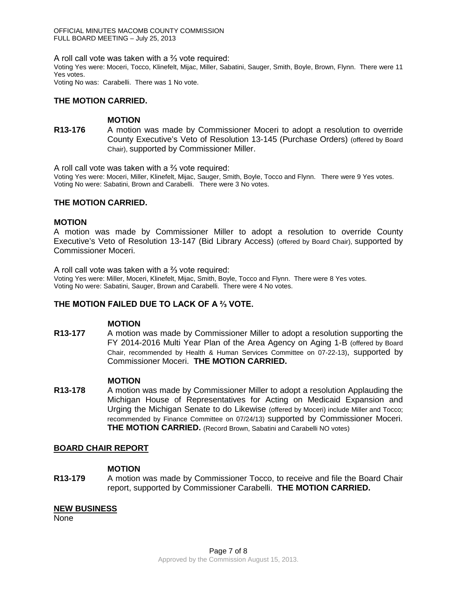OFFICIAL MINUTES MACOMB COUNTY COMMISSION FULL BOARD MEETING – July 25, 2013

A roll call vote was taken with a ⅔ vote required:

Voting Yes were: Moceri, Tocco, Klinefelt, Mijac, Miller, Sabatini, Sauger, Smith, Boyle, Brown, Flynn. There were 11 Yes votes.

Voting No was: Carabelli. There was 1 No vote.

#### **THE MOTION CARRIED.**

## **MOTION**

**R13-176** A motion was made by Commissioner Moceri to adopt a resolution to override County Executive's Veto of Resolution 13-145 (Purchase Orders) (offered by Board Chair), supported by Commissioner Miller.

A roll call vote was taken with a ⅔ vote required:

Voting Yes were: Moceri, Miller, Klinefelt, Mijac, Sauger, Smith, Boyle, Tocco and Flynn. There were 9 Yes votes. Voting No were: Sabatini, Brown and Carabelli. There were 3 No votes.

#### **THE MOTION CARRIED.**

#### **MOTION**

A motion was made by Commissioner Miller to adopt a resolution to override County Executive's Veto of Resolution 13-147 (Bid Library Access) (offered by Board Chair), supported by Commissioner Moceri.

A roll call vote was taken with a ⅔ vote required:

Voting Yes were: Miller, Moceri, Klinefelt, Mijac, Smith, Boyle, Tocco and Flynn. There were 8 Yes votes. Voting No were: Sabatini, Sauger, Brown and Carabelli. There were 4 No votes.

## **THE MOTION FAILED DUE TO LACK OF A ⅔ VOTE.**

#### **MOTION**

**R13-177** A motion was made by Commissioner Miller to adopt a resolution supporting the FY 2014-2016 Multi Year Plan of the Area Agency on Aging 1-B (offered by Board Chair, recommended by Health & Human Services Committee on 07-22-13), supported by Commissioner Moceri. **THE MOTION CARRIED.**

#### **MOTION**

**R13-178** A motion was made by Commissioner Miller to adopt a resolution Applauding the Michigan House of Representatives for Acting on Medicaid Expansion and Urging the Michigan Senate to do Likewise (offered by Moceri) include Miller and Tocco; recommended by Finance Committee on 07/24/13) supported by Commissioner Moceri. **THE MOTION CARRIED.** (Record Brown, Sabatini and Carabelli NO votes)

## **BOARD CHAIR REPORT**

#### **MOTION**

**R13-179** A motion was made by Commissioner Tocco, to receive and file the Board Chair report, supported by Commissioner Carabelli. **THE MOTION CARRIED.**

#### **NEW BUSINESS**

None